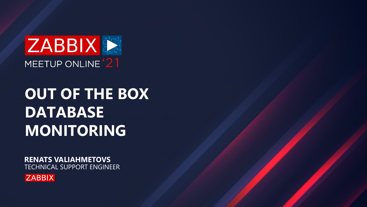**RENATS VALIAHMETOVS** TECHNICAL SUPPORT ENGINEER







# **OUT OF THE BOX DATABASE MONITORING**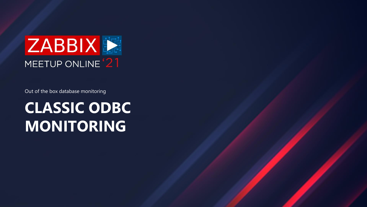# **CLASSIC ODBC MONITORING**





Out of the box database monitoring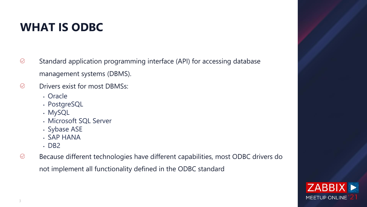

- $\bigcirc$ Standard application programming interface (API) for accessing database management systems (DBMS).
- $\bigcirc$ Drivers exist for most DBMSs:
	- Oracle
	- PostgreSQL
	- MySQL
	- Microsoft SQL Server
	- Sybase ASE
	- SAP HANA
	- DB2
- Because different technologies have different capabilities, most ODBC drivers do  $\bigcirc$ not implement all functionality defined in the ODBC standard

# **WHAT IS ODBC**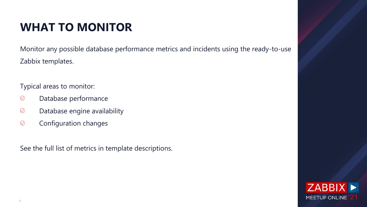

Monitor any possible database performance metrics and incidents using the ready-to-use Zabbix templates.

- $\bigcirc$ Database performance
- $\bigcirc$ Database engine availability
- $\bigcirc$ Configuration changes

Typical areas to monitor:

See the full list of metrics in template descriptions.

# **WHAT TO MONITOR**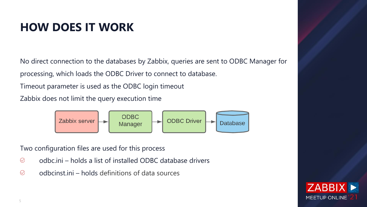

No direct connection to the databases by Zabbix, queries are sent to ODBC Manager for processing, which loads the ODBC Driver to connect to database.

Timeout parameter is used as the ODBC login timeout

- $\bigcirc$ odbc.ini – holds a list of installed ODBC database drivers
- $\bigcirc$ odbcinst.ini – holds definitions of data sources

Zabbix does not limit the query execution time



Two configuration files are used for this process

# **HOW DOES IT WORK**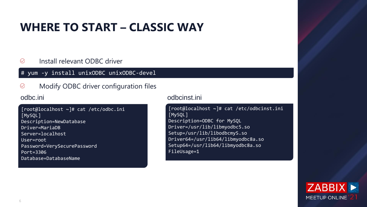

### $\bigcirc$ Install relevant ODBC driver

### $\bigcirc$ Modify ODBC driver configuration files

# **WHERE TO START – CLASSIC WAY**

### # yum -y install unixODBC unixODBC-devel

### odbc.ini odbcinst.ini

[root@localhost ~]# cat /etc/odbc.ini [MySQL] Description=NewDatabase Driver=MariaDB Server=localhost User=root Password=VerySecurePassword Port=3306 Database=DatabaseName

[root@localhost ~]# cat /etc/odbcinst.ini [MySQL] Description=ODBC for MySQL Driver=/usr/lib/libmyodbc5.so Setup=/usr/lib/libodbcmyS.so Driver64=/usr/lib64/libmyodbc8a.so Setup64=/usr/lib64/libmyodbc8a.so FileUsage=1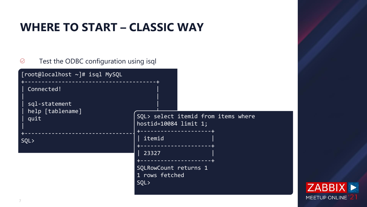### is where



## **WHERE TO START – CLASSIC WAY**

| Test the ODBC configuration using isql          |                                                       |  |
|-------------------------------------------------|-------------------------------------------------------|--|
| [root@localhost ~]# isql MySQL                  |                                                       |  |
| Connected!<br>sql-statement<br>help [tablename] |                                                       |  |
| quit                                            | SQL> select itemid from item<br>hostid=10084 limit 1; |  |
| SQL>                                            | itemid<br>-----------                                 |  |
|                                                 | 23327                                                 |  |
|                                                 | SQLRowCount returns 1<br>1 rows fetched<br>SQL        |  |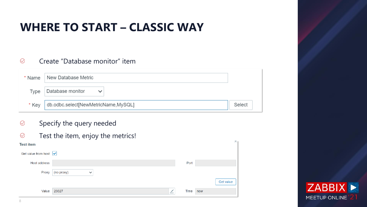



### $\bigcirc$ Create "Database monitor" item

- Specify the query needed  $\bigcirc$
- Test the item, enjoy the metrics!  $\bigcirc$

|       | * Name   New Database Metric        |
|-------|-------------------------------------|
|       | Type Database monitor               |
| * Kev | db.odbc.select[NewMetricName,MySQL] |

| <b>Test item</b>                         |                                  |      |         |
|------------------------------------------|----------------------------------|------|---------|
| Get value from host $\boxed{\checkmark}$ |                                  |      |         |
| Host address                             |                                  | Port |         |
| Proxy                                    | (no proxy)<br>$\checkmark$       |      |         |
|                                          |                                  |      | Get val |
| Value                                    | <b>AND READY</b><br>23327<br>$-$ | Time | now     |

# **WHERE TO START – CLASSIC WAY**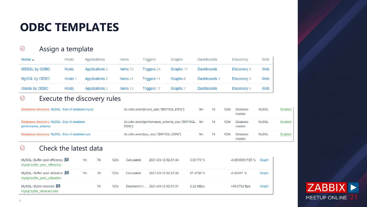$\bigcirc$ 



### $\bigcirc$ Assign a template

| Name $\triangle$ | <b>Hosts</b> | Applications          | <b>Items</b> | Triggers    | Graphs    | Dashboards        | <b>Discovery</b> | Web |
|------------------|--------------|-----------------------|--------------|-------------|-----------|-------------------|------------------|-----|
| MSSQL by ODBC    | <b>Hosts</b> | <b>Applications 2</b> | Items 70     | Triggers 24 | Graphs 17 | <b>Dashboards</b> | Discovery 6      | Web |
| MySQL by ODBC    | Hosts 1      | <b>Applications 2</b> | Items 41     | Triggers 11 | Graphs 6  | Dashboards 1      | Discovery 2      | Web |
| Oracle by ODBC   | <b>Hosts</b> | <b>Applications 2</b> | Items 73     | Triggers 17 | Graphs 7  | <b>Dashboards</b> | Discovery 5      | Web |

### Execute the discovery rules

### $\bigcirc$ Check the latest data

| Databases discovery: MySQL: Size of database mysql                 | db.odbc.select[mysql_size,"{\$MYSQL.DSN}"]                       | 5m | 7d | 123d | Database<br>monitor | MvSQL | Enabled        |
|--------------------------------------------------------------------|------------------------------------------------------------------|----|----|------|---------------------|-------|----------------|
| Databases discovery: MySQL: Size of database<br>performance schema | db.odbc.select[performance_schema_size,"{\$MYSQL. 5m<br>$DSN$ "] |    | 7d | 123d | Database<br>monitor | MySQL | <b>Enabled</b> |
| Databases discovery: MySQL: Size of database sys                   | db.odbc.select[sys_size,"{\$MYSQL.DSN}"]                         | 5m | 7d | 123d | Database<br>monitor | MySQL | <b>Enabled</b> |

| MySQL: Buffer pool efficiency<br>mysql.buffer_pool_efficiency     | 1m | 7d | 123d | Calculated | 2021-03-12 02:31:34             | 0.00173 % | -0.0000001725 % | Graph |
|-------------------------------------------------------------------|----|----|------|------------|---------------------------------|-----------|-----------------|-------|
| MySQL: Buffer pool utilization 2<br>mysql.buffer pool utilization | 1m | 7d | 123d | Calculated | 2021-03-12 02:31:35             | 87.4756 % | $-0.02441%$     | Graph |
| MySQL: Bytes received 2<br>mysql.bytes_received.rate              |    | 7d | 123d |            | Dependent i 2021-03-12 02:31:31 | 2.22 KBps | +49.0792 Bps    | Graph |

## **ODBC TEMPLATES**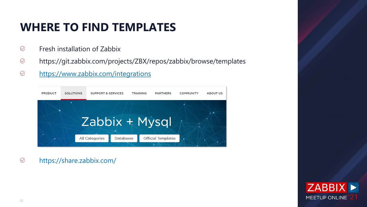

 $\bigcirc$ https://share.zabbix.com/

# **WHERE TO FIND TEMPLATES**

- $\bigcirc$ Fresh installation of Zabbix
- $\bigcirc$ https://git.zabbix.com/projects/ZBX/repos/zabbix/browse/templates
- <https://www.zabbix.com/integrations>  $\bigcirc$

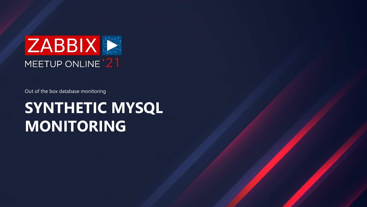# **SYNTHETIC MYSQL MONITORING**





Out of the box database monitoring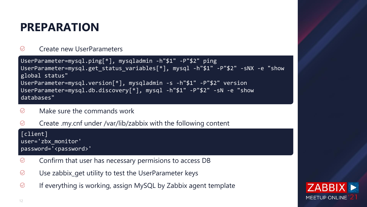





### $\bigcirc$ Create new UserParameters

- Make sure the commands work  $\circledcirc$
- $\bigcirc$ Create .my.cnf under /var/lib/zabbix with the following content

- Confirm that user has necessary permisions to access DB  $\bigcirc$
- $\bigcirc$ Use zabbix\_get utility to test the UserParameter keys
- $\bigcirc$ If everything is working, assign MySQL by Zabbix agent template

### **PREPARATION**

[client] user='zbx\_monitor' password='<password>'

```
UserParameter=mysql.ping[*], mysqladmin -h"$1" -P"$2" ping
UserParameter=mysql.get_status_variables[*], mysql -h"$1" -P"$2" -sNX -e "show 
global status"
UserParameter=mysql.version[*], mysqladmin -s -h"$1" -P"$2" version
UserParameter=mysql.db.discovery[*], mysql -h"$1" -P"$2" -sN -e "show 
databases"
```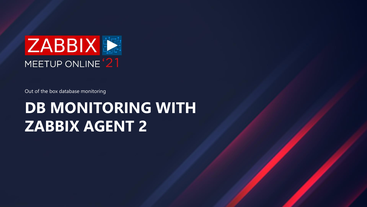# **DB MONITORING WITH ZABBIX AGENT 2**





Out of the box database monitoring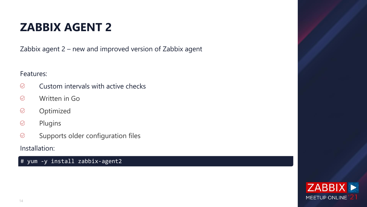

Zabbix agent 2 – new and improved version of Zabbix agent

Features:

- $\bigcirc$ Custom intervals with active checks
- $\bigcirc$ Written in Go
- Optimized  $\bigcirc$
- $\bigcirc$ Plugins
- $\bigcirc$ Supports older configuration files

Installation:

How to install zabbix agent 2 # yum -y install zabbix-agent2

## **ZABBIX AGENT 2**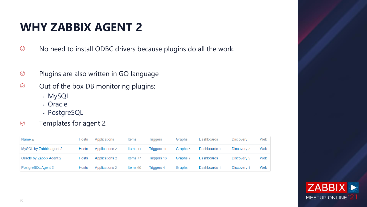

- $\bigcirc$ No need to install ODBC drivers because plugins do all the work.
- $\bigcirc$ Plugins are also written in GO language
- $\bigcirc$ Out of the box DB monitoring plugins:
	- MySQL
	- Oracle
	- PostgreSQL

### $\bigcirc$ Templates for agent 2

| Name $\triangle$         | Hosts        | Applications          | Items    | <b>Triggers</b>    | Graphs   | <b>Dashboards</b> | <b>Discovery</b>   | Web |
|--------------------------|--------------|-----------------------|----------|--------------------|----------|-------------------|--------------------|-----|
| MySQL by Zabbix agent 2  | Hosts        | <b>Applications 2</b> | Items 41 | Triggers 11        | Graphs 6 | Dashboards 1      | Discovery 2        | Web |
| Oracle by Zabbix Agent 2 | <b>Hosts</b> | <b>Applications 2</b> | Items 77 | <b>Triggers 16</b> | Graphs 7 | Dashboards        | Discovery 5        | Web |
| PostgreSQL Agent 2       | Hosts        | <b>Applications 2</b> | Items 60 | Triggers 4         | Graphs   | Dashboards 1      | <b>Discovery 1</b> | Web |

### **WHY ZABBIX AGENT 2**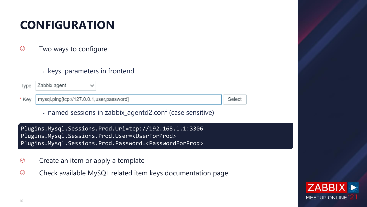### elect



- $\bigcirc$ Two ways to configure:
	- keys' parameters in frontend

| $Type$ $ Zabbix$ agent                            |  |
|---------------------------------------------------|--|
| * Key   mysql.ping[tcp://127.0.0.1,user,password] |  |

• named sessions in zabbix\_agentd2.conf (case sensitive)

- $\bigcirc$ Create an item or apply a template
- $\bigcirc$ Check available MySQL related item keys documentation page

# **CONFIGURATION**

Plugins.Mysql.Sessions.Prod.Uri=tcp://192.168.1.1:3306 Plugins.Mysql.Sessions.Prod.User=<UserForProd> Plugins.Mysql.Sessions.Prod.Password=<PasswordForProd>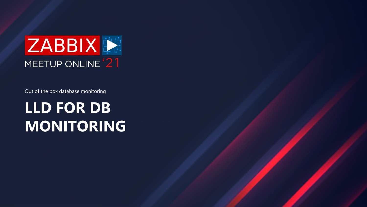# **LLD FOR DB MONITORING**





Out of the box database monitoring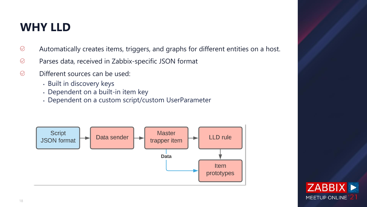

- $\bigcirc$ Automatically creates items, triggers, and graphs for different entities on a host.
- $\bigcirc$ Parses data, received in Zabbix-specific JSON format
- $\bigcirc$ Different sources can be used:
	- Built in discovery keys
	- Dependent on a built-in item key
	- Dependent on a custom script/custom UserParameter



## **WHY LLD**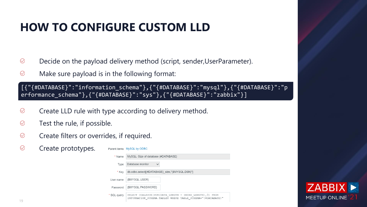

- $\bigcirc$ Decide on the payload delivery method (script, sender,UserParameter).
- $\bigcirc$ Make sure payload is in the following format:

- $\bigcirc$ Create LLD rule with type according to delivery method.
- $\bigcirc$ Test the rule, if possible.
- $\bigcirc$ Create filters or overrides, if required.
- $\bigcirc$ Create prototypes.

Parent items MySQL by ODBC

| * Name      | MySQL: Size of database {#DATABASE}                                                                                       |
|-------------|---------------------------------------------------------------------------------------------------------------------------|
| Type        | Database monitor                                                                                                          |
| * Key       | db.odbc.select[{#DATABASE}_size,"{\$MYSQL.DSN}"]                                                                          |
| User name   | {\$MYSQL.USER}                                                                                                            |
| Password    | {\$MYSQL.PASSWORD}                                                                                                        |
| * SQL query | SELECT COALESCE (SUM (DATA LENGTH + INDEX LENGTH), 0) FROM<br>INFORMATION SCHEMA. TABLES WHERE TABLE SCHEMA="{#DATABASE}" |

# **HOW TO CONFIGURE CUSTOM LLD**

[{"{#DATABASE}":"information\_schema"},{"{#DATABASE}":"mysql"},{"{#DATABASE}":"p erformance\_schema"},{"{#DATABASE}":"sys"},{"{#DATABASE}":"zabbix"}]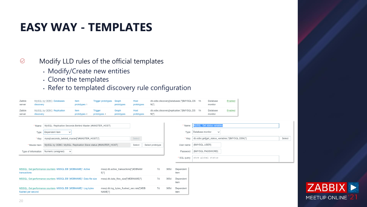

 $\bigcirc$ Modify LLD rules of the official templates

- Modify/Create new entities
- Clone the templates
- Refer to templated discovery rule configuration

| Zabbix<br>server | MySQL by ODBC: Databases<br>discovery   | Item<br>prototypes 1 | Trigger prototypes Graph | prototypes          | Host<br>prototypes | db.odbc.discovery[databases,"{\$MYSQL.DS<br>$N$ }"]   | - 1 h | Database<br>monitor | <b>Enabled</b> |
|------------------|-----------------------------------------|----------------------|--------------------------|---------------------|--------------------|-------------------------------------------------------|-------|---------------------|----------------|
| Zabbix<br>server | MySQL by ODBC: Replication<br>discovery | ltem<br>prototypes 4 | Trigger<br>prototypes 4  | Graph<br>prototypes | Host<br>prototypes | db.odbc.discovery[replication,"{\$MYSQL.DS<br>$N$ }"] |       | Database<br>monitor | <b>Enabled</b> |

| LANNIY              | <b>MYOUL DY ODDU. REPRODUT</b>                                                 | ווסווו       | mggar        | udbin      | поэс       |                  | du.oduc.discovery[replication, {919110001.000 TH | Dalabasc<br><b>Liguida</b>                        |        |
|---------------------|--------------------------------------------------------------------------------|--------------|--------------|------------|------------|------------------|--------------------------------------------------|---------------------------------------------------|--------|
| server              | discovery                                                                      | prototypes 4 | prototypes 4 | prototypes | prototypes | N}"]             |                                                  | monitor                                           |        |
|                     |                                                                                |              |              |            |            |                  |                                                  |                                                   |        |
|                     | * Name   MySQL: Replication Seconds Behind Master {#MASTER_HOST}               |              |              |            |            |                  |                                                  |                                                   |        |
|                     | Dependent item<br>Type<br>$\checkmark$                                         |              |              |            |            |                  | Type                                             | Database monitor<br>$\checkmark$                  |        |
|                     | * Key   mysql.seconds_behind_master["{#MASTER_HOST}"]                          |              |              |            | Select     |                  | * Key                                            | db.odbc.get[get_status_variables,"{\$MYSQL.DSN}"] | Select |
|                     | MySQL by ODBC: MySQL: Replication Slave status {#MASTER_HOST}<br>* Master item |              |              |            | Select     | Select prototype |                                                  | User name {\$MYSQL.USER}                          |        |
| Type of information | Numeric (unsigned) $\vee$                                                      |              |              |            |            |                  |                                                  | Password {\$MYSQL.PASSWORD}                       |        |
|                     |                                                                                |              |              |            |            |                  | * SQL query                                      | show global status                                |        |

| MSSQL: Get performance counters: MSSQL DB '{#DBNAME}': Active<br>transactions          | mssql.db.active transactions["{#DBNAM<br>E}"1        | 7d | 365d | Dependent<br>item |
|----------------------------------------------------------------------------------------|------------------------------------------------------|----|------|-------------------|
| MSSQL: Get performance counters: MSSQL DB '{#DBNAME}': Data file size                  | mssql.db.data_files_size["{#DBNAME}"]                | 7d | 365d | Dependent<br>item |
| MSSQL: Get performance counters: MSSQL DB '{#DBNAME}': Log bytes<br>flushed per second | mssql.db.log bytes flushed sec.ratel"{#DB<br>NAME}"] | 7d | 365d | Dependent<br>item |

### **EASY WAY - TEMPLATES**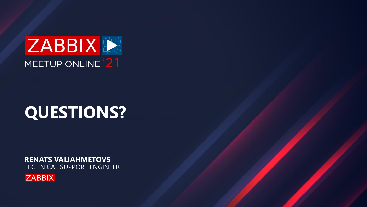**RENATS VALIAHMETOVS** TECHNICAL SUPPORT ENGINEER







# **QUESTIONS?**